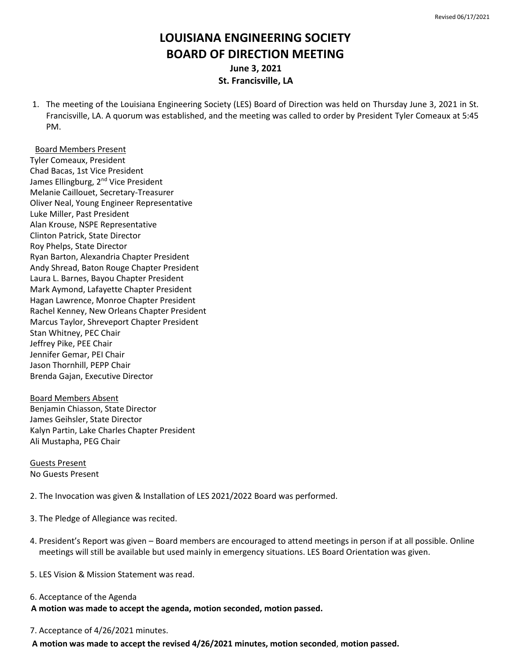# **LOUISIANA ENGINEERING SOCIETY BOARD OF DIRECTION MEETING June 3, 2021**

## **St. Francisville, LA**

1. The meeting of the Louisiana Engineering Society (LES) Board of Direction was held on Thursday June 3, 2021 in St. Francisville, LA. A quorum was established, and the meeting was called to order by President Tyler Comeaux at 5:45 PM.

### Board Members Present

Tyler Comeaux, President Chad Bacas, 1st Vice President James Ellingburg, 2<sup>nd</sup> Vice President Melanie Caillouet, Secretary-Treasurer Oliver Neal, Young Engineer Representative Luke Miller, Past President Alan Krouse, NSPE Representative Clinton Patrick, State Director Roy Phelps, State Director Ryan Barton, Alexandria Chapter President Andy Shread, Baton Rouge Chapter President Laura L. Barnes, Bayou Chapter President Mark Aymond, Lafayette Chapter President Hagan Lawrence, Monroe Chapter President Rachel Kenney, New Orleans Chapter President Marcus Taylor, Shreveport Chapter President Stan Whitney, PEC Chair Jeffrey Pike, PEE Chair Jennifer Gemar, PEI Chair Jason Thornhill, PEPP Chair Brenda Gajan, Executive Director

Board Members Absent Benjamin Chiasson, State Director James Geihsler, State Director Kalyn Partin, Lake Charles Chapter President Ali Mustapha, PEG Chair

Guests Present No Guests Present

2. The Invocation was given & Installation of LES 2021/2022 Board was performed.

- 3. The Pledge of Allegiance was recited.
- 4. President's Report was given Board members are encouraged to attend meetings in person if at all possible. Online meetings will still be available but used mainly in emergency situations. LES Board Orientation was given.
- 5. LES Vision & Mission Statement was read.

#### 6. Acceptance of the Agenda

**A motion was made to accept the agenda, motion seconded, motion passed.**

#### 7. Acceptance of 4/26/2021 minutes.

 **A motion was made to accept the revised 4/26/2021 minutes, motion seconded**, **motion passed.**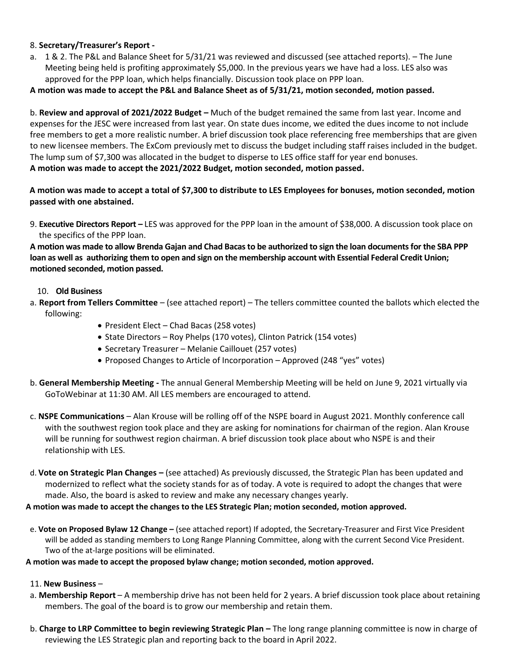## 8. **Secretary/Treasurer's Report -**

a. 1 & 2. The P&L and Balance Sheet for 5/31/21 was reviewed and discussed (see attached reports). – The June Meeting being held is profiting approximately \$5,000. In the previous years we have had a loss. LES also was approved for the PPP loan, which helps financially. Discussion took place on PPP loan.

## **A motion was made to accept the P&L and Balance Sheet as of 5/31/21, motion seconded, motion passed.**

b. **Review and approval of 2021/2022 Budget –** Much of the budget remained the same from last year. Income and expenses for the JESC were increased from last year. On state dues income, we edited the dues income to not include free members to get a more realistic number. A brief discussion took place referencing free memberships that are given to new licensee members. The ExCom previously met to discuss the budget including staff raises included in the budget. The lump sum of \$7,300 was allocated in the budget to disperse to LES office staff for year end bonuses. **A motion was made to accept the 2021/2022 Budget, motion seconded, motion passed.** 

# **A motion was made to accept a total of \$7,300 to distribute to LES Employees for bonuses, motion seconded, motion passed with one abstained.**

9. **Executive Directors Report –** LES was approved for the PPP loan in the amount of \$38,000. A discussion took place on the specifics of the PPP loan.

**A motion was made to allow Brenda Gajan and Chad Bacas to be authorized to sign the loan documents for the SBA PPP loan as well as authorizing them to open and sign on the membership account with Essential Federal Credit Union; motioned seconded, motion passed.**

## 10. **Old Business**

- a. **Report from Tellers Committee** (see attached report) The tellers committee counted the ballots which elected the following:
	- President Elect Chad Bacas (258 votes)
	- State Directors Roy Phelps (170 votes), Clinton Patrick (154 votes)
	- Secretary Treasurer Melanie Caillouet (257 votes)
	- Proposed Changes to Article of Incorporation Approved (248 "yes" votes)
- b. **General Membership Meeting -** The annual General Membership Meeting will be held on June 9, 2021 virtually via GoToWebinar at 11:30 AM. All LES members are encouraged to attend.
- c. **NSPE Communications** Alan Krouse will be rolling off of the NSPE board in August 2021. Monthly conference call with the southwest region took place and they are asking for nominations for chairman of the region. Alan Krouse will be running for southwest region chairman. A brief discussion took place about who NSPE is and their relationship with LES.
- d. **Vote on Strategic Plan Changes –** (see attached) As previously discussed, the Strategic Plan has been updated and modernized to reflect what the society stands for as of today. A vote is required to adopt the changes that were made. Also, the board is asked to review and make any necessary changes yearly.

## **A motion was made to accept the changes to the LES Strategic Plan; motion seconded, motion approved.**

e. **Vote on Proposed Bylaw 12 Change –** (see attached report) If adopted, the Secretary-Treasurer and First Vice President will be added as standing members to Long Range Planning Committee, along with the current Second Vice President. Two of the at-large positions will be eliminated.

## **A motion was made to accept the proposed bylaw change; motion seconded, motion approved.**

## 11. **New Business** –

- a. **Membership Report** A membership drive has not been held for 2 years. A brief discussion took place about retaining members. The goal of the board is to grow our membership and retain them.
- b. **Charge to LRP Committee to begin reviewing Strategic Plan –** The long range planning committee is now in charge of reviewing the LES Strategic plan and reporting back to the board in April 2022.